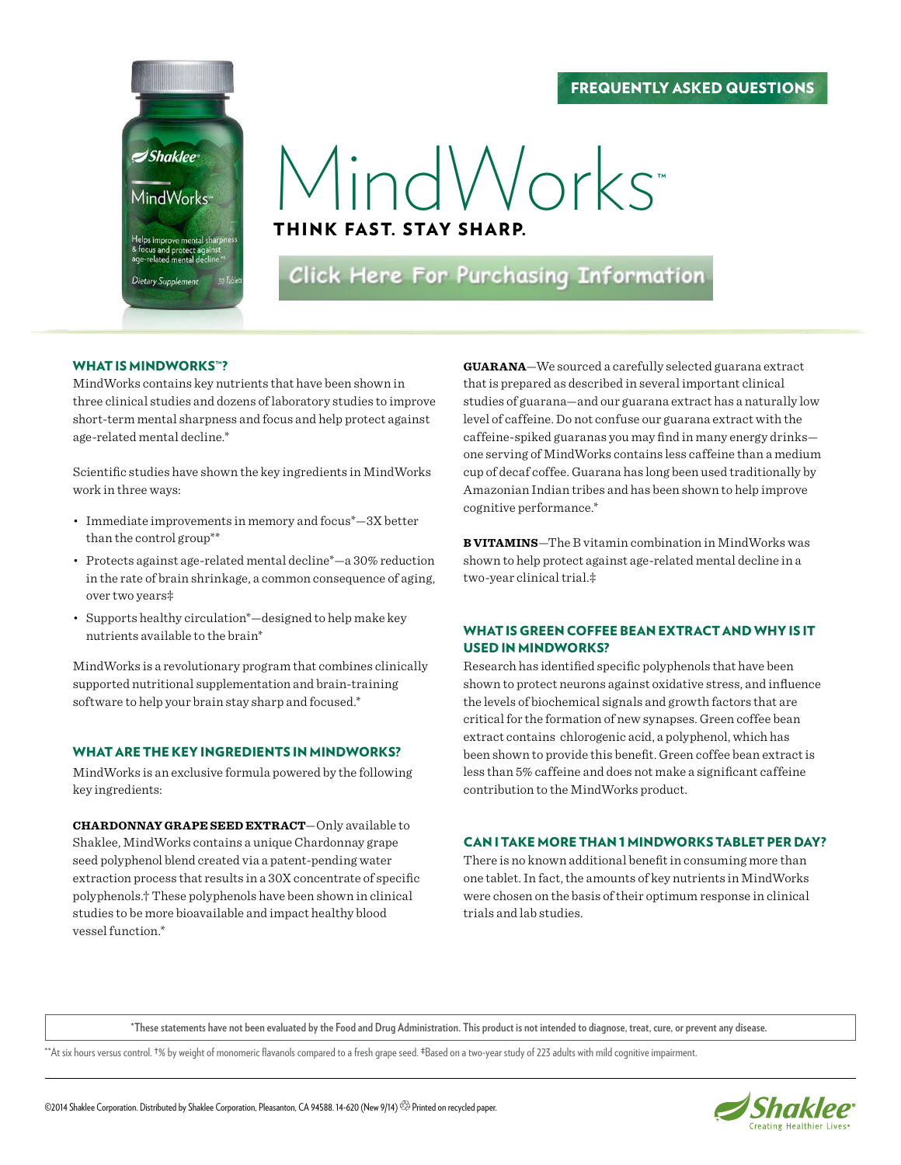#### Frequently Asked Questions



# MindWorks

Think fast. stay sharp.

Click Here For Purchasing Information

#### WHAT IS MINDWORKS™?

MindWorks contains key nutrients that have been shown in three clinical studies and dozens of laboratory studies to improve short-term mental sharpness and focus and help protect against age-related mental decline.\*

Scientific studies have shown the key ingredients in MindWorks work in three ways:

- Immediate improvements in memory and focus<sup>\*</sup> $-3X$  better than the control group\*\*
- • Protects against age-related mental decline\*—a 30% reduction in the rate of brain shrinkage, a common consequence of aging, over two years‡
- • Supports healthy circulation\*—designed to help make key nutrients available to the brain\*

MindWorks is a revolutionary program that combines clinically supported nutritional supplementation and brain-training software to help your brain stay sharp and focused.\*

#### WHAT ARE THE KEY INGREDIENTS IN MINDWORKS?

MindWorks is an exclusive formula powered by the following key ingredients:

**Chardonnay grape seed extract**—Only available to Shaklee, MindWorks contains a unique Chardonnay grape seed polyphenol blend created via a patent-pending water extraction process that results in a 30X concentrate of specific polyphenols.† These polyphenols have been shown in clinical studies to be more bioavailable and impact healthy blood vessel function.\*

**Guarana**—We sourced a carefully selected guarana extract that is prepared as described in several important clinical studies of guarana—and our guarana extract has a naturally low level of caffeine. Do not confuse our guarana extract with the caffeine-spiked guaranas you may find in many energy drinks one serving of MindWorks contains less caffeine than a medium cup of decaf coffee. Guarana has long been used traditionally by Amazonian Indian tribes and has been shown to help improve cognitive performance.\*

**B vitamins**—The B vitamin combination in MindWorks was shown to help protect against age-related mental decline in a two-year clinical trial.‡

#### WHAT IS GREEN COFFEE BEAN EXTRACT AND WHY IS IT used in MindWorks?

Research has identified specific polyphenols that have been shown to protect neurons against oxidative stress, and influence the levels of biochemical signals and growth factors that are critical for the formation of new synapses. Green coffee bean extract contains chlorogenic acid, a polyphenol, which has been shown to provide this benefit. Green coffee bean extract is less than 5% caffeine and does not make a significant caffeine contribution to the MindWorks product.

#### Can I take more than 1 MindWorks tablet per day?

There is no known additional benefit in consuming more than one tablet. In fact, the amounts of key nutrients in MindWorks were chosen on the basis of their optimum response in clinical trials and lab studies.

**\*These statements have not been evaluated by the Food and Drug Administration. This product is not intended to diagnose, treat, cure, or prevent any disease.**

\*\*At six hours versus control. †% by weight of monomeric flavanols compared to a fresh grape seed. ‡Based on a two-year study of 223 adults with mild cognitive impairment.